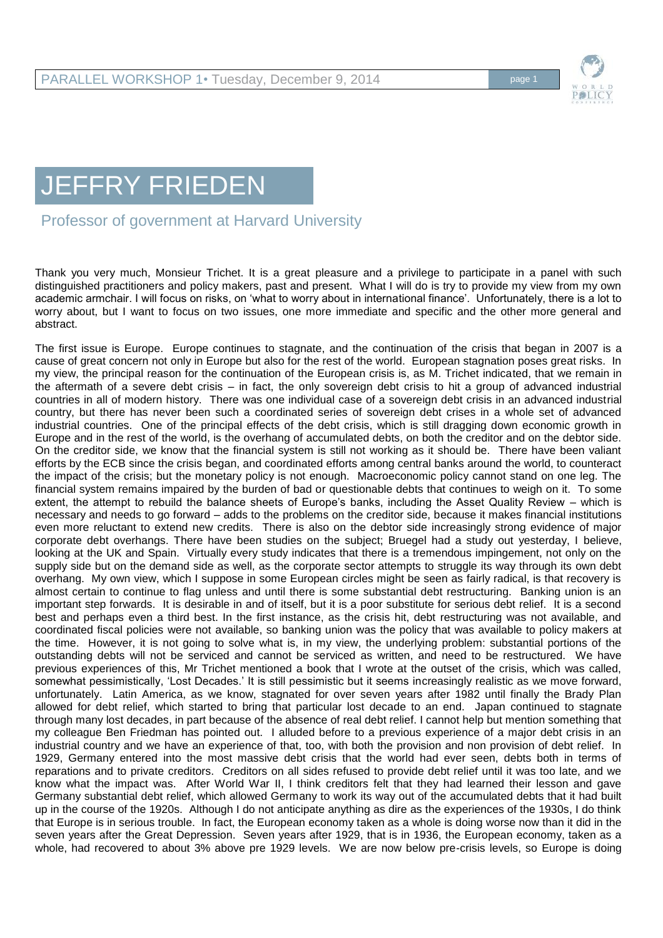

## JEFFRY FRIEDEN

Professor of government at Harvard University

Thank you very much, Monsieur Trichet. It is a great pleasure and a privilege to participate in a panel with such distinguished practitioners and policy makers, past and present. What I will do is try to provide my view from my own academic armchair. I will focus on risks, on 'what to worry about in international finance'. Unfortunately, there is a lot to worry about, but I want to focus on two issues, one more immediate and specific and the other more general and abstract.

The first issue is Europe. Europe continues to stagnate, and the continuation of the crisis that began in 2007 is a cause of great concern not only in Europe but also for the rest of the world. European stagnation poses great risks. In my view, the principal reason for the continuation of the European crisis is, as M. Trichet indicated, that we remain in the aftermath of a severe debt crisis – in fact, the only sovereign debt crisis to hit a group of advanced industrial countries in all of modern history. There was one individual case of a sovereign debt crisis in an advanced industrial country, but there has never been such a coordinated series of sovereign debt crises in a whole set of advanced industrial countries. One of the principal effects of the debt crisis, which is still dragging down economic growth in Europe and in the rest of the world, is the overhang of accumulated debts, on both the creditor and on the debtor side. On the creditor side, we know that the financial system is still not working as it should be. There have been valiant efforts by the ECB since the crisis began, and coordinated efforts among central banks around the world, to counteract the impact of the crisis; but the monetary policy is not enough. Macroeconomic policy cannot stand on one leg. The financial system remains impaired by the burden of bad or questionable debts that continues to weigh on it. To some extent, the attempt to rebuild the balance sheets of Europe's banks, including the Asset Quality Review – which is necessary and needs to go forward – adds to the problems on the creditor side, because it makes financial institutions even more reluctant to extend new credits. There is also on the debtor side increasingly strong evidence of major corporate debt overhangs. There have been studies on the subject; Bruegel had a study out yesterday, I believe, looking at the UK and Spain. Virtually every study indicates that there is a tremendous impingement, not only on the supply side but on the demand side as well, as the corporate sector attempts to struggle its way through its own debt overhang. My own view, which I suppose in some European circles might be seen as fairly radical, is that recovery is almost certain to continue to flag unless and until there is some substantial debt restructuring. Banking union is an important step forwards. It is desirable in and of itself, but it is a poor substitute for serious debt relief. It is a second best and perhaps even a third best. In the first instance, as the crisis hit, debt restructuring was not available, and coordinated fiscal policies were not available, so banking union was the policy that was available to policy makers at the time. However, it is not going to solve what is, in my view, the underlying problem: substantial portions of the outstanding debts will not be serviced and cannot be serviced as written, and need to be restructured. We have previous experiences of this, Mr Trichet mentioned a book that I wrote at the outset of the crisis, which was called, somewhat pessimistically, 'Lost Decades.' It is still pessimistic but it seems increasingly realistic as we move forward, unfortunately. Latin America, as we know, stagnated for over seven years after 1982 until finally the Brady Plan allowed for debt relief, which started to bring that particular lost decade to an end. Japan continued to stagnate through many lost decades, in part because of the absence of real debt relief. I cannot help but mention something that my colleague Ben Friedman has pointed out. I alluded before to a previous experience of a major debt crisis in an industrial country and we have an experience of that, too, with both the provision and non provision of debt relief. In 1929, Germany entered into the most massive debt crisis that the world had ever seen, debts both in terms of reparations and to private creditors. Creditors on all sides refused to provide debt relief until it was too late, and we know what the impact was. After World War II, I think creditors felt that they had learned their lesson and gave Germany substantial debt relief, which allowed Germany to work its way out of the accumulated debts that it had built up in the course of the 1920s. Although I do not anticipate anything as dire as the experiences of the 1930s, I do think that Europe is in serious trouble. In fact, the European economy taken as a whole is doing worse now than it did in the seven years after the Great Depression. Seven years after 1929, that is in 1936, the European economy, taken as a whole, had recovered to about 3% above pre 1929 levels. We are now below pre-crisis levels, so Europe is doing